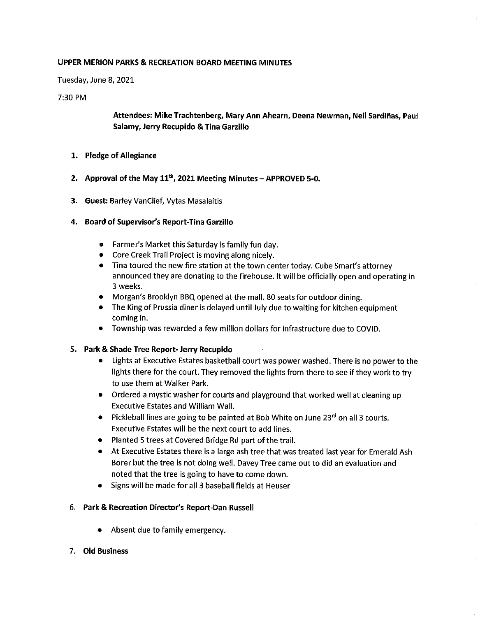#### UPPER MERION PARKS & RECREATION BOARD MEETING MINUTES

Tuesday, June 8, 2021

#### 7:30 PM

# Attendees: Mike Trachtenberg, Mary Ann Ahearn, Deena Newman, Neil Sardiñas, Paul Salamy, Jerry Recupido & Tina Garzillo

- 1. Pledge of Allegiance
- 2. Approval of the May  $11<sup>th</sup>$ , 2021 Meeting Minutes APPROVED 5-0.
- 3. Guest: Barley VanClief, Vytas Masalaitis

### 4. Board of Supervisor's Report-Tina Garzillo

- $\bullet$  Farmer's Market this Saturday is family fun day.
- Core Creek Trail Project is moving along nicely.
- \* Tina toured the new fire station at the town center today. Cube Smart's attorney announced they are donating to the firehouse. It will be officially open and operating in 3 weeks.
- Morgan's Brooklyn BBQ opened at the mall. 80 seats for outdoor dining.
- The King of Prussia diner is delayed until July due to waiting for kitchen equipment coming in.
- \* Township was rewarded a few million dollars for infrastructure due to COVID.

#### 5. Park & Shade Tree Report- Jerry Recupido

- \* Lights at Executive Estates basketball court was power washed. There is no power to the lights there for the court. They removed the lights from there to see if they work to try to use them at Walker Park.
- \* Ordered a mystic washer for courts and playground that worked well at cleaning up Executive Estates and William Wall.
- Pickleball lines are going to be painted at Bob White on June 23<sup>rd</sup> on all 3 courts. Executive Estates will be the next court to add lines.
- \* Planted 5 trees at Covered Bridge Rd part of the trail.
- \* At Executive Estates there is a large ash tree that was treated last year for Emerald Ash Borer but the tree is not doing well. Davey Tree came out to did an evaluation and noted that the tree is going to have to come down.
- Signs will be made for all 3 baseball fields at Heuser

#### 6. Park & Recreation Director's Report-Dan Russell

- Absent due to family emergency.
- 7. Old Business